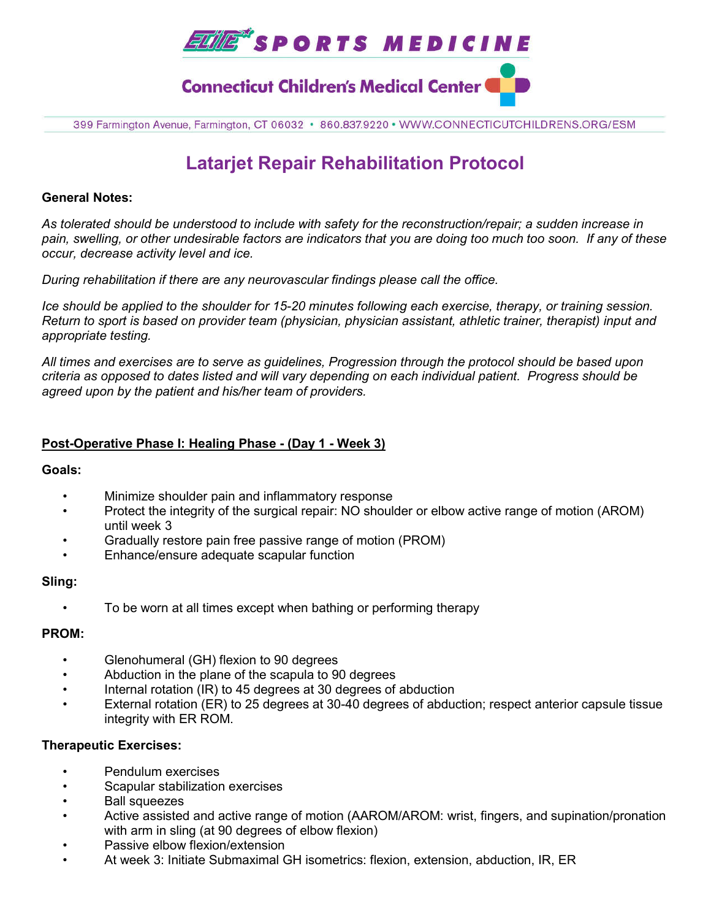

399 Farmington Avenue, Farmington, CT 06032 · 860.837.9220 · WWW.CONNECTICUTCHILDRENS.ORG/ESM

# **Latarjet Repair Rehabilitation Protocol**

#### **General Notes:**

*As tolerated should be understood to include with safety for the reconstruction/repair; a sudden increase in pain, swelling, or other undesirable factors are indicators that you are doing too much too soon. If any of these occur, decrease activity level and ice.* 

*During rehabilitation if there are any neurovascular findings please call the office.*

*Ice should be applied to the shoulder for 15-20 minutes following each exercise, therapy, or training session. Return to sport is based on provider team (physician, physician assistant, athletic trainer, therapist) input and appropriate testing.*

*All times and exercises are to serve as guidelines, Progression through the protocol should be based upon criteria as opposed to dates listed and will vary depending on each individual patient. Progress should be agreed upon by the patient and his/her team of providers.*

# **Post-Operative Phase I: Healing Phase - (Day 1 - Week 3)**

#### **Goals:**

- Minimize shoulder pain and inflammatory response
- Protect the integrity of the surgical repair: NO shoulder or elbow active range of motion (AROM) until week 3
- Gradually restore pain free passive range of motion (PROM)
- Enhance/ensure adequate scapular function

#### **Sling:**

• To be worn at all times except when bathing or performing therapy

# **PROM:**

- Glenohumeral (GH) flexion to 90 degrees
- Abduction in the plane of the scapula to 90 degrees
- Internal rotation (IR) to 45 degrees at 30 degrees of abduction
- External rotation (ER) to 25 degrees at 30-40 degrees of abduction; respect anterior capsule tissue integrity with ER ROM.

# **Therapeutic Exercises:**

- Pendulum exercises
- Scapular stabilization exercises
- Ball squeezes
- Active assisted and active range of motion (AAROM/AROM: wrist, fingers, and supination/pronation with arm in sling (at 90 degrees of elbow flexion)
- Passive elbow flexion/extension
- At week 3: Initiate Submaximal GH isometrics: flexion, extension, abduction, IR, ER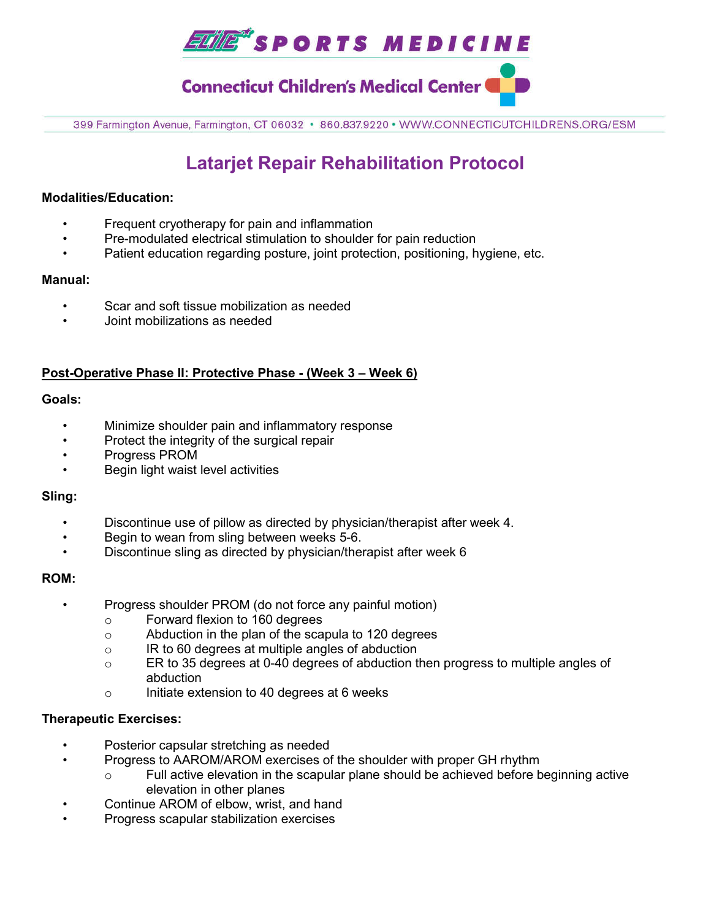

**Connecticut Children's Medical Center** 

399 Farmington Avenue, Farmington, CT 06032 · 860.837.9220 · WWW.CONNECTICUTCHILDRENS.ORG/ESM

# **Latarjet Repair Rehabilitation Protocol**

#### **Modalities/Education:**

- Frequent cryotherapy for pain and inflammation
- Pre-modulated electrical stimulation to shoulder for pain reduction
- Patient education regarding posture, joint protection, positioning, hygiene, etc.

#### **Manual:**

- Scar and soft tissue mobilization as needed
- Joint mobilizations as needed

# **Post-Operative Phase II: Protective Phase - (Week 3 – Week 6)**

#### **Goals:**

- Minimize shoulder pain and inflammatory response
- Protect the integrity of the surgical repair
- Progress PROM
- Begin light waist level activities

#### **Sling:**

- Discontinue use of pillow as directed by physician/therapist after week 4.
- Begin to wean from sling between weeks 5-6.
- Discontinue sling as directed by physician/therapist after week 6

#### **ROM:**

- Progress shoulder PROM (do not force any painful motion)
	- o Forward flexion to 160 degrees
	- o Abduction in the plan of the scapula to 120 degrees
	- o IR to 60 degrees at multiple angles of abduction
	- o ER to 35 degrees at 0-40 degrees of abduction then progress to multiple angles of abduction
	- o Initiate extension to 40 degrees at 6 weeks

# **Therapeutic Exercises:**

- Posterior capsular stretching as needed
- Progress to AAROM/AROM exercises of the shoulder with proper GH rhythm
	- Full active elevation in the scapular plane should be achieved before beginning active elevation in other planes
- Continue AROM of elbow, wrist, and hand
- Progress scapular stabilization exercises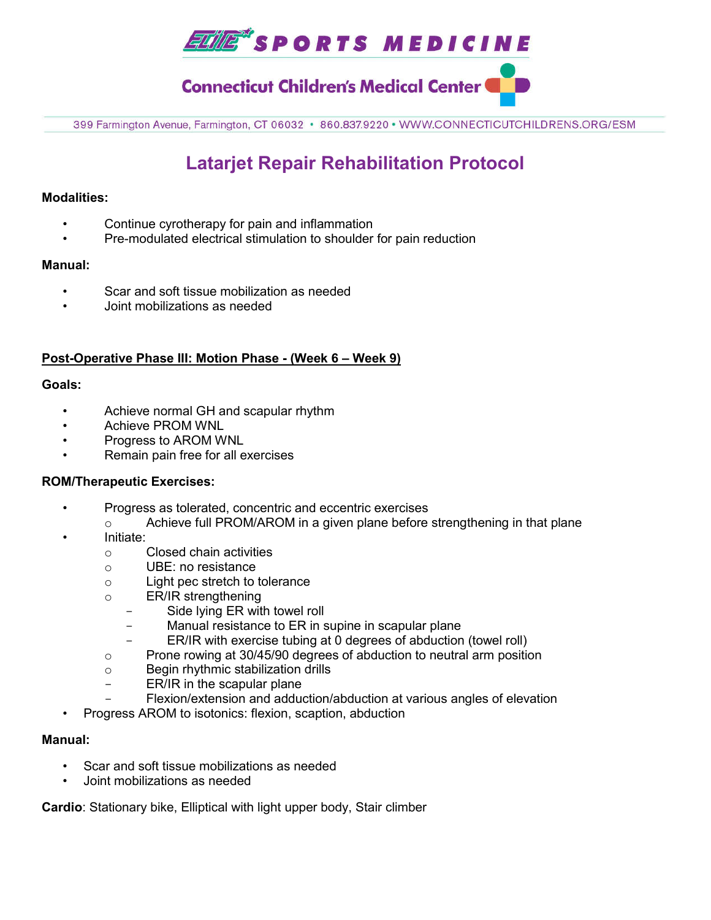

**Connecticut Children's Medical Center (** 

399 Farmington Avenue, Farmington, CT 06032 · 860.837.9220 · WWW.CONNECTICUTCHILDRENS.ORG/ESM

# **Latarjet Repair Rehabilitation Protocol**

### **Modalities:**

- Continue cyrotherapy for pain and inflammation
- Pre-modulated electrical stimulation to shoulder for pain reduction

#### **Manual:**

- Scar and soft tissue mobilization as needed
- Joint mobilizations as needed

# **Post-Operative Phase III: Motion Phase - (Week 6 – Week 9)**

#### **Goals:**

- Achieve normal GH and scapular rhythm
- Achieve PROM WNL
- Progress to AROM WNL
- Remain pain free for all exercises

# **ROM/Therapeutic Exercises:**

- Progress as tolerated, concentric and eccentric exercises
	- o Achieve full PROM/AROM in a given plane before strengthening in that plane
- Initiate:
	- o Closed chain activities
	- o UBE: no resistance
	- o Light pec stretch to tolerance
	- o ER/IR strengthening
		- Side lying ER with towel roll
		- Manual resistance to ER in supine in scapular plane
		- ER/IR with exercise tubing at 0 degrees of abduction (towel roll)
	- $\circ$  Prone rowing at 30/45/90 degrees of abduction to neutral arm position
	- o Begin rhythmic stabilization drills
	- ER/IR in the scapular plane
	- Flexion/extension and adduction/abduction at various angles of elevation
- Progress AROM to isotonics: flexion, scaption, abduction

#### **Manual:**

- Scar and soft tissue mobilizations as needed
- Joint mobilizations as needed

**Cardio**: Stationary bike, Elliptical with light upper body, Stair climber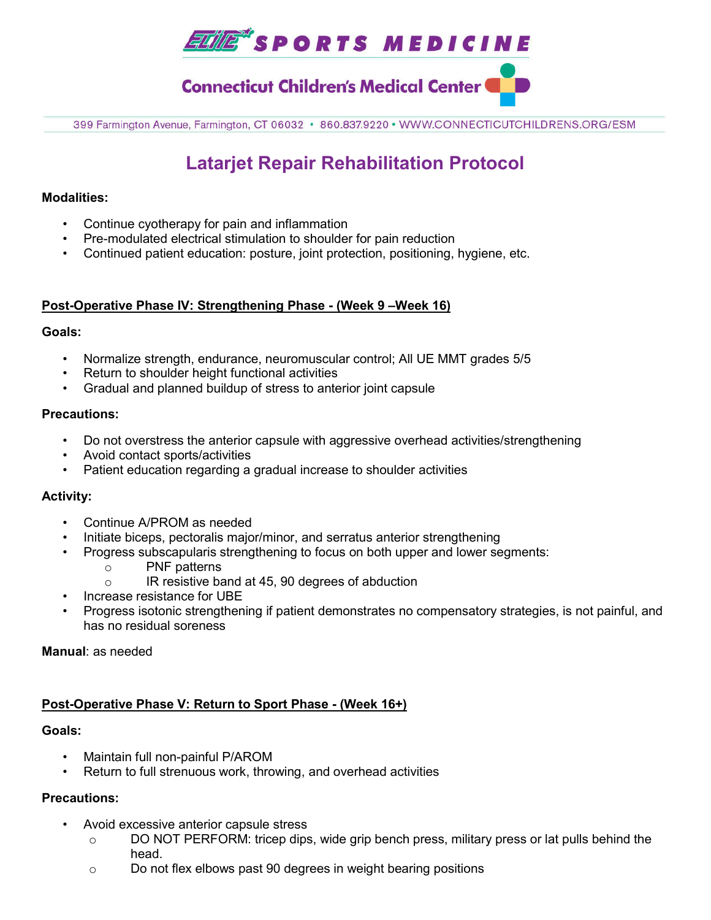

# **Connecticut Children's Medical Center**

399 Farmington Avenue, Farmington, CT 06032 · 860.837.9220 · WWW.CONNECTICUTCHILDRENS.ORG/ESM

# **Latarjet Repair Rehabilitation Protocol**

#### **Modalities:**

- Continue cyotherapy for pain and inflammation
- Pre-modulated electrical stimulation to shoulder for pain reduction
- Continued patient education: posture, joint protection, positioning, hygiene, etc.

#### **Post-Operative Phase IV: Strengthening Phase - (Week 9 –Week 16)**

#### **Goals:**

- Normalize strength, endurance, neuromuscular control; All UE MMT grades 5/5
- Return to shoulder height functional activities
- Gradual and planned buildup of stress to anterior joint capsule

#### **Precautions:**

- Do not overstress the anterior capsule with aggressive overhead activities/strengthening
- Avoid contact sports/activities
- Patient education regarding a gradual increase to shoulder activities

# **Activity:**

- Continue A/PROM as needed
- Initiate biceps, pectoralis major/minor, and serratus anterior strengthening
- Progress subscapularis strengthening to focus on both upper and lower segments:
	- o PNF patterns
	- o IR resistive band at 45, 90 degrees of abduction
- Increase resistance for UBE
- Progress isotonic strengthening if patient demonstrates no compensatory strategies, is not painful, and has no residual soreness

**Manual**: as needed

# **Post-Operative Phase V: Return to Sport Phase - (Week 16+)**

#### **Goals:**

- Maintain full non-painful P/AROM
- Return to full strenuous work, throwing, and overhead activities

# **Precautions:**

- Avoid excessive anterior capsule stress
	- $\circ$  DO NOT PERFORM: tricep dips, wide grip bench press, military press or lat pulls behind the head.
	- o Do not flex elbows past 90 degrees in weight bearing positions